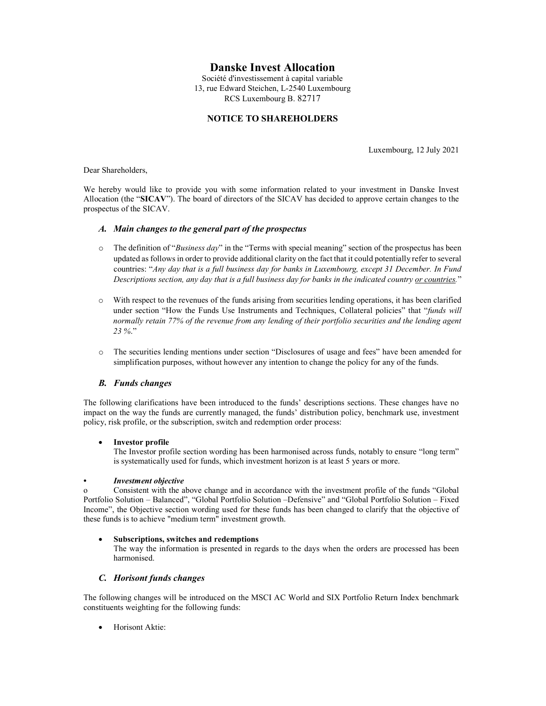# Danske Invest Allocation

Société d'investissement à capital variable 13, rue Edward Steichen, L-2540 Luxembourg RCS Luxembourg B. 82717

## NOTICE TO SHAREHOLDERS

Luxembourg, 12 July 2021

Dear Shareholders,

We hereby would like to provide you with some information related to your investment in Danske Invest Allocation (the "SICAV"). The board of directors of the SICAV has decided to approve certain changes to the prospectus of the SICAV.

## A. Main changes to the general part of the prospectus

- $\circ$  The definition of "Business day" in the "Terms with special meaning" section of the prospectus has been updated as follows in order to provide additional clarity on the fact that it could potentially refer to several countries: "Any day that is a full business day for banks in Luxembourg, except 31 December. In Fund Descriptions section, any day that is a full business day for banks in the indicated country or countries."
- o With respect to the revenues of the funds arising from securities lending operations, it has been clarified under section "How the Funds Use Instruments and Techniques, Collateral policies" that "funds will normally retain 77% of the revenue from any lending of their portfolio securities and the lending agent 23 %."
- o The securities lending mentions under section "Disclosures of usage and fees" have been amended for simplification purposes, without however any intention to change the policy for any of the funds.

## B. Funds changes

The following clarifications have been introduced to the funds' descriptions sections. These changes have no impact on the way the funds are currently managed, the funds' distribution policy, benchmark use, investment policy, risk profile, or the subscription, switch and redemption order process:

#### • Investor profile

The Investor profile section wording has been harmonised across funds, notably to ensure "long term" is systematically used for funds, which investment horizon is at least 5 years or more.

#### • Investment objective

o Consistent with the above change and in accordance with the investment profile of the funds "Global Portfolio Solution – Balanced", "Global Portfolio Solution –Defensive" and "Global Portfolio Solution – Fixed Income", the Objective section wording used for these funds has been changed to clarify that the objective of these funds is to achieve "medium term" investment growth.

#### Subscriptions, switches and redemptions

The way the information is presented in regards to the days when the orders are processed has been harmonised.

#### C. Horisont funds changes

The following changes will be introduced on the MSCI AC World and SIX Portfolio Return Index benchmark constituents weighting for the following funds:

Horisont Aktie: